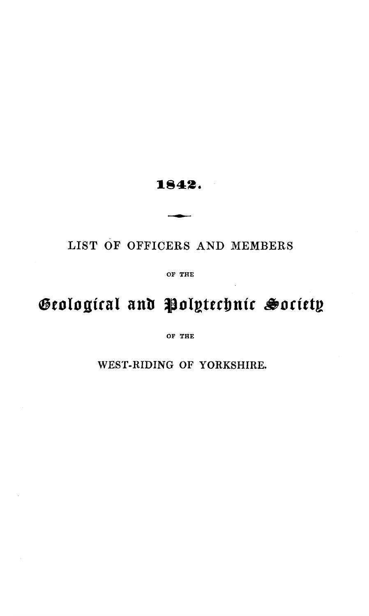# 1842.

# LIST OF OFFICERS AND MEMBERS

OF THE

# Geological and Polytechnic Society

OF THE

WEST-RIDING OF YORKSHIRE.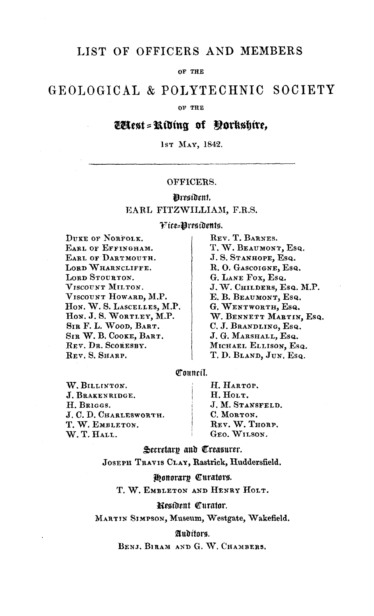## LIST OF OFFICERS AND MEMBERS

OF THE

# GEOLOGICAL & POLYTECHNIC SOCIETY

OF THE

# Wtest = Riding of Oorkshire,

1sr MAY, 1842.

## OFFICERS.

## Mresident. EARL FITZWILLIAM, F.R.S.

#### Fice=Presidents.

DUKE OF NORFOLK. EARL OF EFFINGHAM. EARL OF DARTMOUTH. LORD WHARNCLIFFE. LORD STOURTON. VISCOUNT MILTON. VISCOUNT HOWARD, M.P. Hon. W. S. LASCELLES, M.P. Hon. J. S. WORTLEY, M.P. SIR F. L. WOOD, BART. SIR W. B. COOKE, BART. REV. DR. SCORESBY. REV. S. SHARP.

REV. T. BARNES. T. W. BEAUMONT, Esq. J.S. STANHOPE, Esq. R.O. GASCOIGNE, Esq. G. LANE FOX, Esq. J.W. CHILDERS, Esq. M.P. E. B. BEAUMONT, Esq. G. WENTWORTH, Esq. W. BENNETT MARTIN, Esq. C. J. BRANDLING, Esq. J. G. MARSHALL, Esq. MICHAEL ELLISON, Esq. T. D. BLAND, JUN. Esq.

### Council.

W. BILLINTON. J. BRAKENRIDGE. H. BRIGGS. J. C. D. CHARLESWORTH. T. W. EMBLETON. W.T.HALL.

H. HARTOP. H. HOLT. J. M. STANSFELD. C. MORTON. REV. W. THORP. GEO. WILSON.

Secretary and Treasurer.

#### JOSEPH TRAVIS CLAY, Rastrick, Huddersfield.

## Honorary Curators.

T. W. EMBLETON AND HENRY HOLT.

#### Resident Curator.

MARTIN SIMPSON, Museum, Westgate, Wakefield.

#### Auditors.

BENJ, BIRAM AND G. W. CHAMBERS,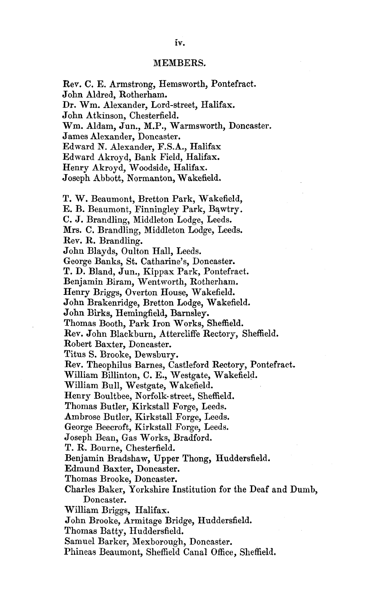#### MEMBERS.

Rev. C. E. Armstrong, Hemsworth, Pontefract. John Aldred, Rotherham. Dr. Wm. Alexander, Lord-street, Halifax. John Atkinson, Chesterfield. Wm. Aldam, Jun., M.P., Warmsworth, Doncaster. James Alexander, Doncaster. Edward N. Alexander, F.S.A., Halifax Edward Akroyd, Bank Field, Halifax. Henry Akroyd, Woodside, Halifax. Joseph Abbott, Normanton, Wakefield. T. W. Beaumont, Bretton Park, Wakefield, E. B. Beaumont, Finningley Park, Bawtry. C. J. Brandling, Middleton Lodge, Leeds. Mrs. C. Brandling, Middleton Lodge, Leeds. Rev. R. Brandling. John Blayds, Oulton Hall, Leeds. George Banks, St. Catharine's, Doncaster. T. D. Bland, Jun., Kippax Park, Pontefract. Benjamin Biram, Wentworth, Rotherham. Henry Briggs, Overton House, Wakefield. John Brakenridge, Bretton Lodge, Wakefield. John Birks, Hemingfield, Barnsley. Thomas Booth, Park Iron Works, Sheffield. Rev. John Blackburn, Attereliffe Rectory, Sheffield. Robert Baxter, Doncaster. Titus S. Brooke, Dewsbury. Rev. Theophilus Barnes, Castleford Rectory, Pontefract. William BUlinton, C. E., Westgate, Wakefield. William Bull, Westgate, Wakefield. Henry Boultbee, Norfolk- street, Sheffield. Thomas Butler, Kirkstall Forge, Leeds. Ambrose Butler, Kirkstall Forge, Leeds. George Beecroft, Kirkstall Forge, Leeds. Joseph Bean, Gas Works, Bradford. T. R. Bourne, Chesterfield. Benjamin Bradshaw, Upper Thong, Huddersfield. Edmund Baxter, Doncaster. Thomas Brooke, Doncaster. Charles Baker, Yorkshire Institution for the Deaf and Dumb, Doncaster. William Briggs, Halifax. John Brooke, Armitage Bridge, Huddersfield. Thomas Batty, Huddersfield. Samuel Barker, Mexborough, Doncaster. Phineas Beaumont, Sheffield Canal Office, Sheffield.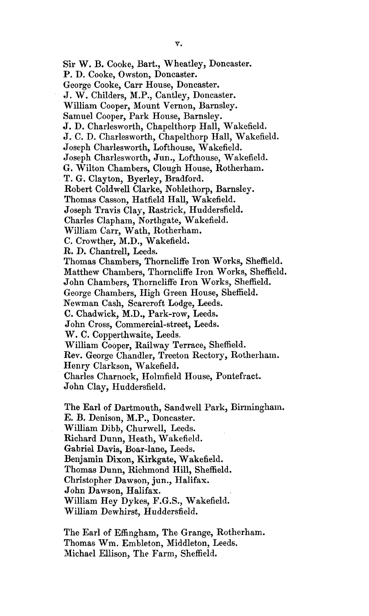Sir W. B. Cooke, Bart., Wheatley, Doncaster, P. D. Cooke, Owston, Doncaster. George Cooke, Carr House, Doncaster. J. W. Childers, M.P., Cantley, Doncaster. William Cooper, Mount Vernon, Barnsley. Samuel Cooper, Park House, Barnsley. J. D. Charlesworth, Chapelthorp Hall, Wakefield. J. C. D, Charlesworth, Chapelthorp Hall, Wakefield. Joseph Charlesworth, Lofthouse, Wakefield. Joseph Charlesworth, Jun., Lofthouse, Wakefield. G. Wilton Chambers, Clough House, Rotherham. T. G. Clayton, Byerley, Bradford. Robert Coldwell Clarke, Noblethorp, Barnsley. Thomas Casson, Hatfield Hall, Wakefield. Joseph Travis Clay, Rastrick, Huddersfield. Charles Clapham, Northgate, Wakefield. William Carr, Wath, Rotherham. C. Crowther, M.D., Wakefield. R. D. Chantrell, Leeds. Thomas Chambers, Thornclifi^e Iron Works, Sheffield. Matthew Chambers, Thomcliffe Iron Works, Sheffield. John Chambers, Thorncliffe Iron Works, Sheffield. George Chambers, High Green House, Sheffield. Newman Cash, Scarcroft Lodge, Leeds. C. Chad wick, M.D., Park-row, Leeds. John Cross, Commercial-street, Leeds. W. C. Copperthwaite, Leeds, William Cooper, Railway Terrace, Sheffield. Rev. George Chandler, Treeton Rectory, Rotherham. Henry Clarkson, Wakefield. Charles Charnock, Holmfield House, Pontefract. John Clay, Huddersfield.

The Earl of Dartmouth, Sandwell Park, Birmingham. E. B. Denison, M.P., Doncaster. William Dibb, Churwell, Leeds. Richard Dunn, Heath, Wakefield. Gabriel Davis, Boar-lane, Leeds. Benjamin Dixon, Kirkgate, Wakefield. Thomas Dunn, Richmond Hill, Sheffield. Christopher Dawson, jun., Halifax. John Dawson, Halifax. William Hey Dykes, F.G.S., Wakefield. William Dewhirst, Huddersfield.

The Earl of Effingham, The Grange, Rotherham. Thomas Wm, Embleton, Middleton, Leeds. Michael Ellison, The Farm, Sheffield.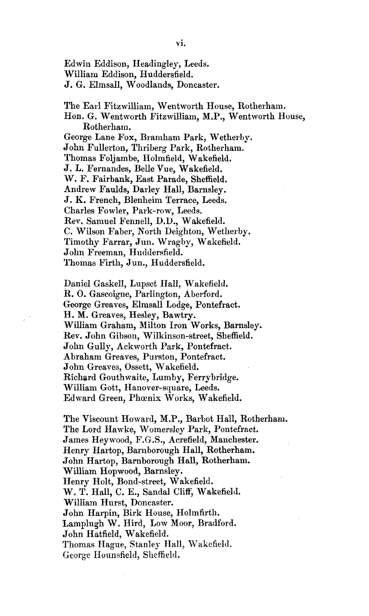Edwin Eddison, Headingley, Leeds. William Eddison, Huddersfield. J. G. Elmsall, Woodlands, Doncaster.

The Earl Fitzwilliam, Wentworth House, Rotherham. Hon. G. Wentworth Fitzwilliam, M.P., Wentworth House, Rotherhani. George Lane Fox, Bramham Park, Wetherby. John Fullerton, Thriberg Park, Rotherham. Thomas Foljambe, Holmfield, Wakefield. J. L. Fernandes, Belle Vue, Wakefield. W. F. Fairbank, East Parade, Sheffield. Andrew Faulds, Darley Hall, Bamsley. J. K. French, Blenheim Terrace, Leeds. Charles Fowler, Park-row, Leeds. Rev. Samuel Fennell, D.D., Wakefield. C. WUson Faber, North Deighton, Wetherby. Timothy Farrar, Jun. Wragby, Wakefield. John Freeman, Huddersfield. Thomas Firth, Jun., Huddersfield.

Daniel Gaskell, Lupset Hall, Wakefield. R. O. Gascoigne, Parlington, Aberford. George Greaves, Elmsall Lodge, Pontefract. H. M. Greaves, Hesley, Bawtry. William Graham, Milton Iron Works, Barnsley. Rev. John Gibson, Wilkinson-street, Sheffield. John Gully, Ackworth Park, Pontefract. Abraham Greaves, Purston, Pontefract. John Greaves, Ossett, Wakefield. Richard Gouthwaite, Lumby, Ferrybridge. William Gott, Hanover-square, Leeds. Edward Green, Phoenix Works, Wakefield.

The Viscount Howard, M.P., Barbot Hall, Rotherhani. The Lord Hawke, Womersley Park, Pontefract. James Heywood, F.G.S., Acrefield, Manchester. Henry Hartop, Barnborough Hall, Rotherham. John Hartop, Bamborough Hall, Rotherham. William Hopwood, Barnsley. Henry Holt, Bond-street, Wakefield. W. T. Hall, C. E., Sandal Cliff, Wakefield. William Hurst, Doncaster. John Harpin, Birk House, Holmfirth. Lamplugh W. Hird, Low Moor, Bradford. John Hatfield, Wakefield. Thomas Hague, Stanley Hall, Wakefield. George Hounsfield, Sheffield.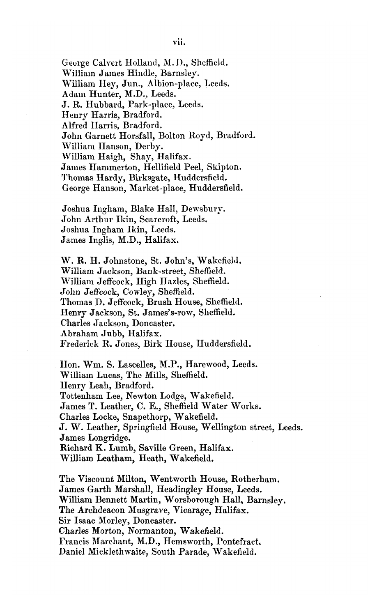George Calvert Holland, M. D., Sheffield. William James Hindle, Barnsley. William Hey, Jun., Albion-place, Leeds. Adam Hunter, M.D., Leeds. J. R. Hubbard, Park-place, Leeds, Henry Harris, Bradford. Alfred Harris, Bradford. John Garnett Horsfall, Bolton Royd, Bradford. William Hanson, Derby. William Haigh, Shay, Halifax. James Hammerton, Hellifield Peel, Skipton. Thomas Hardy, Birksgate, Huddersfield. George Hanson, Market-place, Huddersfield.

Joshua Ingham, Blake Hall, Dewsbury. John Arthur Ikin, Scarcroft, Leeds. Joshua Ingham Ikin, Leeds. James Inglis, M.D., Halifax.

W . R. H. Johnstone, St. John's, Wakefield. William Jackson, Bank-street, Sheffield. William Jeffcock, High Hazles, Sheffield. John Jeffcock, Cowley, Sheffield. Thomas D. Jeffcock, Brush House, Sheffield. Henry Jackson, St. James's-row, Sheffield. Charles Jackson, Doncaster. Abraham Jubb, Halifax. Frederick R. Jones, Birk House, Huddersfield.

Hon. Wm. S. Lascelles, M.P., Harewood, Leeds. William Lucas, The Mills, Sheffield. Henry Leah, Bradford. Tottenham Lee, Newton Lodge, Wakefield. James T. Leather, C. E., Sheffield Water Works. Charles Locke, Snapethorp, Wakefield. J. W. Leather, Springfield House, Wellington street, Leeds. James Longridge. Richard K. Lumb, Saville Green, Halifax. William Leatham, Heath, Wakefield.

The Viscount Milton, Wentworth House, Rotherham. James Garth Marshall, Headingley House, Leeds. William Bennett Martin, Worsborough Hall, Barnsley. The Archdeacon Musgrave, Vicarage, Halifax. Sir Isaac Morley, Doncaster. Charles Morton, Normanton, Wakefield. Francis Marchant, M.D., Hemsworth, Pontefract. Daniel Micklethwaite, South Parade, Wakefield.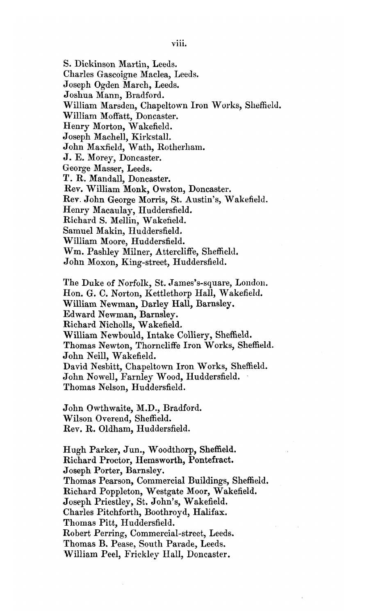S. Dickinson Martin, Leeds. Charles Gascoigne Maclea, Leeds.

Joseph Ogden March, Leeds. Joshua Mann, Bradford. William Marsden, Chapeltown Iron Works, Sheffield. William Moffatt, Doncaster. Henry Morton, Wakefield. Joseph Machell, Kirkstall. John Maxfield, Wath, Rotherliam. J. E. Morey, Doncaster. George Masser, Leeds. T. R. MandaU, Doncaster. Rey. William Monk, Owston, Doncaster. Rev. John George Morris, St. Austin's, Wakefield. Henry Macaulay, Huddersfield. Richard S. Mellin, Wakefield. Samuel Makin, Huddersfield. William Moore, Huddersfield. Wm. Pashley Milner, Attercliffe, Sheffield. John Moxon, King-street, Huddersfield. The Duke of Norfolk, St. James's-square, London. Hon. G. C. Norton, Kettlethorp Hall, Wakefield. WiUiam Newman, Darley HaU, Barnsley. Edward Newman, Barnsley. Richard Nicholls, Wakefield. William Newbould, Intake Colliery, Sheffield. Thomas Newton, Thorncliffe Iron Works, Sheffield. John Neill, Wakefield. David Nesbitt, Chapeltown Iron Works, Sheffield. John Nowell, Farnley Wood, Huddersfield. Thomas Nelson, Huddersfield. John Owthwaite, M.D., Bradford. Wilson Overend, Sheffield. Rev. R. Oldham, Huddersfield. Hugh Parker, Jun., Woodthorp, Sheffield. Richard Proctor, Hemsworth, Pontefract. Joseph Porter, Barnsley. Thomas Pearson, Commercial Buildings, Sheffield. Richard Poppleton, Westgate Moor, Wakefield. Joseph Priestley, St. John's, Wakefield. Charles Pitchforth, Boothroyd, Halifax. Thomas Pitt, Huddersfield. Robert Perring, Commercial-street, Leeds. Thomas B. Pease, South Parade, Leeds. William Peel, Frickley Hall, Doncaster.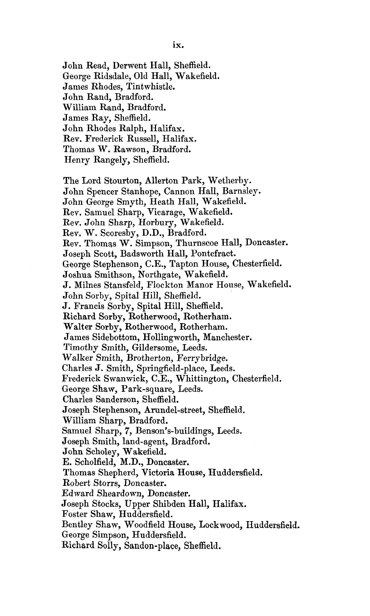John Read, Derwent Hall, Sheffield. George Ridsdale, Old Hall, Wakefield. James Rhodes, Tintwhistle. John Rand, Bradford. William Rand, Bradford. James Ray, Sheffield. John Rhodes Ralph, Halifax. Rev. Frederick Russell, Halifax. Thomas W. Rawson, Bradford. Henry Rangely, Sheffield. The Lord Stourton, AUerton Park, Wetherby. John Spencer Stanhope, Cannon Hall, Barnsley. John George Smyth, Heath Hall, Wakefield. Rev. Samuel Sharp, Vicarage, Wakefield. Rev. John Sharp, Horbury, Wakefield. Rev. W. Scoresby, D.D., Bradford. Rev. Thomas W. Simpson, Thurnscoe Hall, Doncaster. Joseph Scott, Badsworth Hall, Pontefract. George Stephenson, C.E., Tapton House, Chesterfield. Joshua Smithson, Northgate, Wakefield. J. Milnes Stansfeld, Flockton Manor House, Wakefield. John Sorby, Spital Hill, Sheffield. J. Francis Sorby, Spital Hill, Sheffield. Richard Sorhy, Rotherwood, Rotherham. Walter Sorby, Rotherwood, Rotherham. James Sidebottom, Hollingworth, Manchester. Timothy Smith, Gildersome, Leeds. Walker Smith, Brotherton, Ferrybridge. Charles J. Smith, Springfield-place, Leeds. Frederick Swanwick, C.E., Whittington, Chesterfield. George Shaw, Park-square, Leeds. Charles Sanderson, Sheffield. Joseph Stephenson, Arundel-street, Sheffield. William Sharp, Bradford. Samuel Sharp, 7, Benson's-buildings, Leeds. Joseph Smith, land-agent, Bradford. John Scholey, Wakefield. E. Scholfield, M.B., Doncaster. Thomas Shepherd, Victoria House, Huddersfield. Robert Storrs, Doncaster. Edward Sheardown, Doncaster. Joseph Stocks, Upper Shibden Hall, Halifax. Foster Shaw, Huddersfield. Bentley Shaw, Woodfield House, Lockwood, Huddersfield. George Simpson, Huddersfield. Richard Solly, Sandon-place, Sheffield.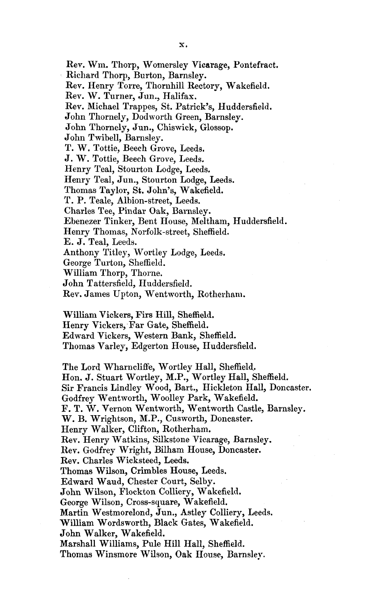Rev. Wm. Thorp, Womersley Vicarage, Pontefract. Richard Thorp, Burton, Barnsley. Rev. Henry Torre, Thornhill Rectory, Wakefield. Rev. W. Turner, Jun., Halifax. Rev. Michael Trappes, St. Patrick's, Huddersfield. John Thornely, Dodworth Green, Barnsley. John Thornely, Jun., Chiswick, Glossop. John Twihell, Barnsley. T. W. Tottie, Beech Grove, Leeds. J. W. Tottie, Beech Grove, Leeds. Henry Teal, Stourton Lodge, Leeds. Henry Teal, Jun., Stourton Lodge, Leeds. Thomas Taylor, St. John's, Wakefield. T. P. Teale, Albion-street, Leeds. Charles Tee, Pindar Oak, Barnsley. Ebenezer Tinker, Bent House, Meltham, Huddersfield. Henry Thomas, Norfolk-street, Sheffield. E. J. Teal, Leeds. Anthony Titley, Wortley Lodge, Leeds. George Turton, Sheffield. William Thorp, Thorne. John Tattersfield, Huddersfield.

Rev. James Upton, Wentworth, Rotherham.

William Vickers, Firs Hill, Sheffield.

Henry Vickers, Far Gate, Sheffield.

Edward Vickers, Western Bank, Sheffield.

Thomas Varley, Edgerton House, Huddersfield.

The Lord Wharncliffe, Wortley Hall, Sheffield.. Hon, J. Stuart Wortley, M.P., Wortley Hall, Sheffield. Sir Francis Lindley Wood, Bart., Hickleton HaU, Doncaster. Godfrey Wentworth, Woolley Park, Wakefield. F. T. W. Vernon Wentworth, Wentworth Castle, Barnsley. W. B. Wrightson, M.P., Cusworth, Doncaster. Henry Walker, Clifton, Rotherham. Rev. Henry Watkins, Silkstone Vicarage, Barnsley. Rev. Godfrey Wright, Bilham House, Doncaster. Rev. Charles Wicksteed, Leeds. Thomas Wilson, Crimbles House, Leeds. Edward Waud, Chester Court, Selby. John Wilson, Flockton Colliery, Wakefield. George Wilson, Cross-square, Wakefield. Martin Westmorelond, Jun., Astley Colliery, Leeds. William Wordsworth, Black Gates, Wakefield. John Walker, Wakefield. Marshall Williams, Pule Hill Hall, Sheffield. Thomas Winsmore Wilson, Oak House, Barnsley.